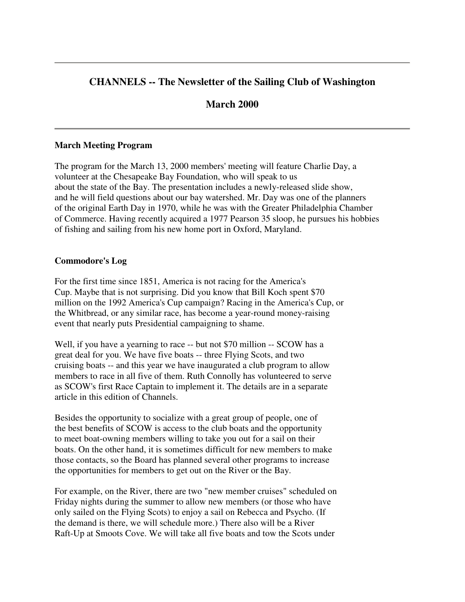# **CHANNELS -- The Newsletter of the Sailing Club of Washington**

# **March 2000**

#### **March Meeting Program**

The program for the March 13, 2000 members' meeting will feature Charlie Day, a volunteer at the Chesapeake Bay Foundation, who will speak to us about the state of the Bay. The presentation includes a newly-released slide show, and he will field questions about our bay watershed. Mr. Day was one of the planners of the original Earth Day in 1970, while he was with the Greater Philadelphia Chamber of Commerce. Having recently acquired a 1977 Pearson 35 sloop, he pursues his hobbies of fishing and sailing from his new home port in Oxford, Maryland.

#### **Commodore's Log**

For the first time since 1851, America is not racing for the America's Cup. Maybe that is not surprising. Did you know that Bill Koch spent \$70 million on the 1992 America's Cup campaign? Racing in the America's Cup, or the Whitbread, or any similar race, has become a year-round money-raising event that nearly puts Presidential campaigning to shame.

Well, if you have a yearning to race -- but not \$70 million -- SCOW has a great deal for you. We have five boats -- three Flying Scots, and two cruising boats -- and this year we have inaugurated a club program to allow members to race in all five of them. Ruth Connolly has volunteered to serve as SCOW's first Race Captain to implement it. The details are in a separate article in this edition of Channels.

Besides the opportunity to socialize with a great group of people, one of the best benefits of SCOW is access to the club boats and the opportunity to meet boat-owning members willing to take you out for a sail on their boats. On the other hand, it is sometimes difficult for new members to make those contacts, so the Board has planned several other programs to increase the opportunities for members to get out on the River or the Bay.

For example, on the River, there are two "new member cruises" scheduled on Friday nights during the summer to allow new members (or those who have only sailed on the Flying Scots) to enjoy a sail on Rebecca and Psycho. (If the demand is there, we will schedule more.) There also will be a River Raft-Up at Smoots Cove. We will take all five boats and tow the Scots under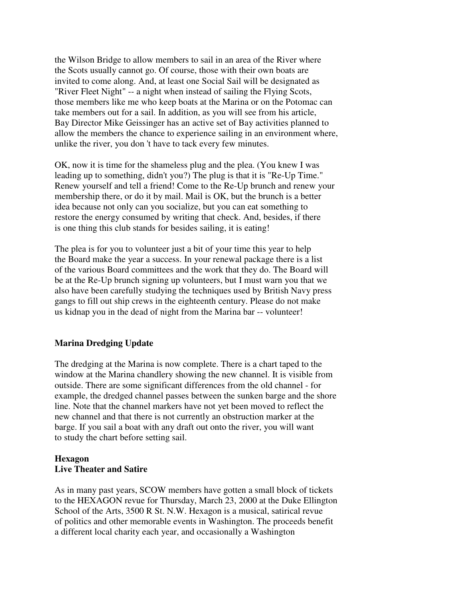the Wilson Bridge to allow members to sail in an area of the River where the Scots usually cannot go. Of course, those with their own boats are invited to come along. And, at least one Social Sail will be designated as "River Fleet Night" -- a night when instead of sailing the Flying Scots, those members like me who keep boats at the Marina or on the Potomac can take members out for a sail. In addition, as you will see from his article, Bay Director Mike Geissinger has an active set of Bay activities planned to allow the members the chance to experience sailing in an environment where, unlike the river, you don 't have to tack every few minutes.

OK, now it is time for the shameless plug and the plea. (You knew I was leading up to something, didn't you?) The plug is that it is "Re-Up Time." Renew yourself and tell a friend! Come to the Re-Up brunch and renew your membership there, or do it by mail. Mail is OK, but the brunch is a better idea because not only can you socialize, but you can eat something to restore the energy consumed by writing that check. And, besides, if there is one thing this club stands for besides sailing, it is eating!

The plea is for you to volunteer just a bit of your time this year to help the Board make the year a success. In your renewal package there is a list of the various Board committees and the work that they do. The Board will be at the Re-Up brunch signing up volunteers, but I must warn you that we also have been carefully studying the techniques used by British Navy press gangs to fill out ship crews in the eighteenth century. Please do not make us kidnap you in the dead of night from the Marina bar -- volunteer!

## **Marina Dredging Update**

The dredging at the Marina is now complete. There is a chart taped to the window at the Marina chandlery showing the new channel. It is visible from outside. There are some significant differences from the old channel - for example, the dredged channel passes between the sunken barge and the shore line. Note that the channel markers have not yet been moved to reflect the new channel and that there is not currently an obstruction marker at the barge. If you sail a boat with any draft out onto the river, you will want to study the chart before setting sail.

#### **Hexagon Live Theater and Satire**

As in many past years, SCOW members have gotten a small block of tickets to the HEXAGON revue for Thursday, March 23, 2000 at the Duke Ellington School of the Arts, 3500 R St. N.W. Hexagon is a musical, satirical revue of politics and other memorable events in Washington. The proceeds benefit a different local charity each year, and occasionally a Washington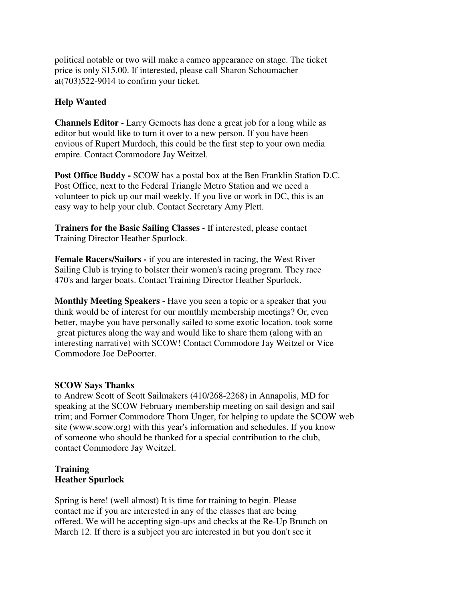political notable or two will make a cameo appearance on stage. The ticket price is only \$15.00. If interested, please call Sharon Schoumacher at(703)522-9014 to confirm your ticket.

## **Help Wanted**

**Channels Editor -** Larry Gemoets has done a great job for a long while as editor but would like to turn it over to a new person. If you have been envious of Rupert Murdoch, this could be the first step to your own media empire. Contact Commodore Jay Weitzel.

**Post Office Buddy -** SCOW has a postal box at the Ben Franklin Station D.C. Post Office, next to the Federal Triangle Metro Station and we need a volunteer to pick up our mail weekly. If you live or work in DC, this is an easy way to help your club. Contact Secretary Amy Plett.

**Trainers for the Basic Sailing Classes -** If interested, please contact Training Director Heather Spurlock.

**Female Racers/Sailors -** if you are interested in racing, the West River Sailing Club is trying to bolster their women's racing program. They race 470's and larger boats. Contact Training Director Heather Spurlock.

**Monthly Meeting Speakers -** Have you seen a topic or a speaker that you think would be of interest for our monthly membership meetings? Or, even better, maybe you have personally sailed to some exotic location, took some great pictures along the way and would like to share them (along with an interesting narrative) with SCOW! Contact Commodore Jay Weitzel or Vice Commodore Joe DePoorter.

## **SCOW Says Thanks**

to Andrew Scott of Scott Sailmakers (410/268-2268) in Annapolis, MD for speaking at the SCOW February membership meeting on sail design and sail trim; and Former Commodore Thom Unger, for helping to update the SCOW web site (www.scow.org) with this year's information and schedules. If you know of someone who should be thanked for a special contribution to the club, contact Commodore Jay Weitzel.

## **Training Heather Spurlock**

Spring is here! (well almost) It is time for training to begin. Please contact me if you are interested in any of the classes that are being offered. We will be accepting sign-ups and checks at the Re-Up Brunch on March 12. If there is a subject you are interested in but you don't see it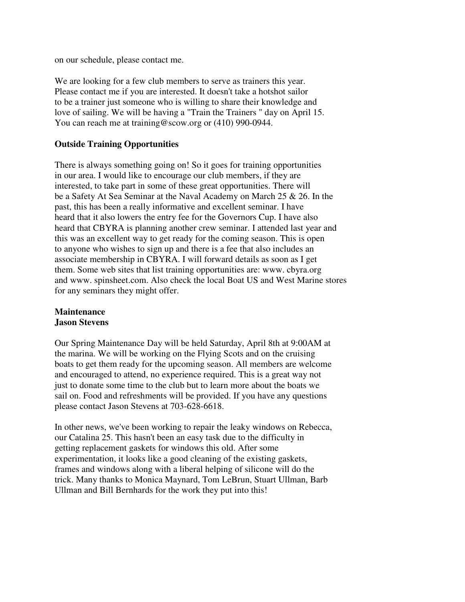on our schedule, please contact me.

We are looking for a few club members to serve as trainers this year. Please contact me if you are interested. It doesn't take a hotshot sailor to be a trainer just someone who is willing to share their knowledge and love of sailing. We will be having a "Train the Trainers " day on April 15. You can reach me at training@scow.org or (410) 990-0944.

### **Outside Training Opportunities**

There is always something going on! So it goes for training opportunities in our area. I would like to encourage our club members, if they are interested, to take part in some of these great opportunities. There will be a Safety At Sea Seminar at the Naval Academy on March 25 & 26. In the past, this has been a really informative and excellent seminar. I have heard that it also lowers the entry fee for the Governors Cup. I have also heard that CBYRA is planning another crew seminar. I attended last year and this was an excellent way to get ready for the coming season. This is open to anyone who wishes to sign up and there is a fee that also includes an associate membership in CBYRA. I will forward details as soon as I get them. Some web sites that list training opportunities are: www. cbyra.org and www. spinsheet.com. Also check the local Boat US and West Marine stores for any seminars they might offer.

#### **Maintenance Jason Stevens**

Our Spring Maintenance Day will be held Saturday, April 8th at 9:00AM at the marina. We will be working on the Flying Scots and on the cruising boats to get them ready for the upcoming season. All members are welcome and encouraged to attend, no experience required. This is a great way not just to donate some time to the club but to learn more about the boats we sail on. Food and refreshments will be provided. If you have any questions please contact Jason Stevens at 703-628-6618.

In other news, we've been working to repair the leaky windows on Rebecca, our Catalina 25. This hasn't been an easy task due to the difficulty in getting replacement gaskets for windows this old. After some experimentation, it looks like a good cleaning of the existing gaskets, frames and windows along with a liberal helping of silicone will do the trick. Many thanks to Monica Maynard, Tom LeBrun, Stuart Ullman, Barb Ullman and Bill Bernhards for the work they put into this!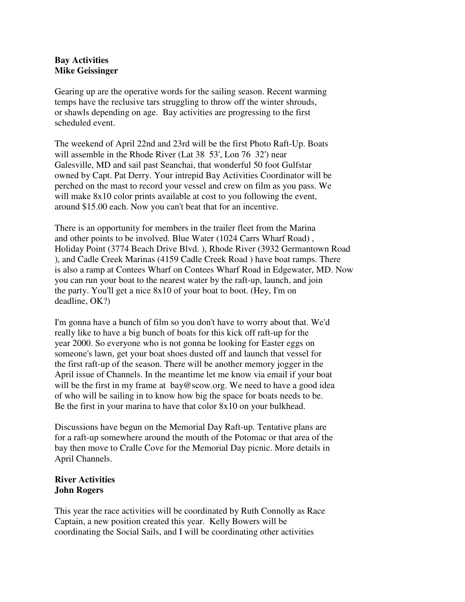### **Bay Activities Mike Geissinger**

Gearing up are the operative words for the sailing season. Recent warming temps have the reclusive tars struggling to throw off the winter shrouds, or shawls depending on age. Bay activities are progressing to the first scheduled event.

The weekend of April 22nd and 23rd will be the first Photo Raft-Up. Boats will assemble in the Rhode River (Lat 38 53', Lon 76 32') near Galesville, MD and sail past Seanchai, that wonderful 50 foot Gulfstar owned by Capt. Pat Derry. Your intrepid Bay Activities Coordinator will be perched on the mast to record your vessel and crew on film as you pass. We will make  $8x10$  color prints available at cost to you following the event, around \$15.00 each. Now you can't beat that for an incentive.

There is an opportunity for members in the trailer fleet from the Marina and other points to be involved. Blue Water (1024 Carrs Wharf Road) , Holiday Point (3774 Beach Drive Blvd. ), Rhode River (3932 Germantown Road ), and Cadle Creek Marinas (4159 Cadle Creek Road ) have boat ramps. There is also a ramp at Contees Wharf on Contees Wharf Road in Edgewater, MD. Now you can run your boat to the nearest water by the raft-up, launch, and join the party. You'll get a nice 8x10 of your boat to boot. (Hey, I'm on deadline, OK?)

I'm gonna have a bunch of film so you don't have to worry about that. We'd really like to have a big bunch of boats for this kick off raft-up for the year 2000. So everyone who is not gonna be looking for Easter eggs on someone's lawn, get your boat shoes dusted off and launch that vessel for the first raft-up of the season. There will be another memory jogger in the April issue of Channels. In the meantime let me know via email if your boat will be the first in my frame at bay@scow.org. We need to have a good idea of who will be sailing in to know how big the space for boats needs to be. Be the first in your marina to have that color 8x10 on your bulkhead.

Discussions have begun on the Memorial Day Raft-up. Tentative plans are for a raft-up somewhere around the mouth of the Potomac or that area of the bay then move to Cralle Cove for the Memorial Day picnic. More details in April Channels.

## **River Activities John Rogers**

This year the race activities will be coordinated by Ruth Connolly as Race Captain, a new position created this year. Kelly Bowers will be coordinating the Social Sails, and I will be coordinating other activities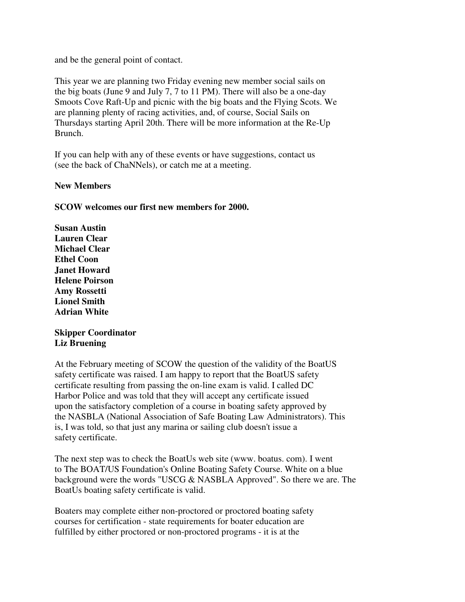and be the general point of contact.

This year we are planning two Friday evening new member social sails on the big boats (June 9 and July 7, 7 to 11 PM). There will also be a one-day Smoots Cove Raft-Up and picnic with the big boats and the Flying Scots. We are planning plenty of racing activities, and, of course, Social Sails on Thursdays starting April 20th. There will be more information at the Re-Up Brunch.

If you can help with any of these events or have suggestions, contact us (see the back of ChaNNels), or catch me at a meeting.

#### **New Members**

### **SCOW welcomes our first new members for 2000.**

**Susan Austin Lauren Clear Michael Clear Ethel Coon Janet Howard Helene Poirson Amy Rossetti Lionel Smith Adrian White**

### **Skipper Coordinator Liz Bruening**

At the February meeting of SCOW the question of the validity of the BoatUS safety certificate was raised. I am happy to report that the BoatUS safety certificate resulting from passing the on-line exam is valid. I called DC Harbor Police and was told that they will accept any certificate issued upon the satisfactory completion of a course in boating safety approved by the NASBLA (National Association of Safe Boating Law Administrators). This is, I was told, so that just any marina or sailing club doesn't issue a safety certificate.

The next step was to check the BoatUs web site (www. boatus. com). I went to The BOAT/US Foundation's Online Boating Safety Course. White on a blue background were the words "USCG & NASBLA Approved". So there we are. The BoatUs boating safety certificate is valid.

Boaters may complete either non-proctored or proctored boating safety courses for certification - state requirements for boater education are fulfilled by either proctored or non-proctored programs - it is at the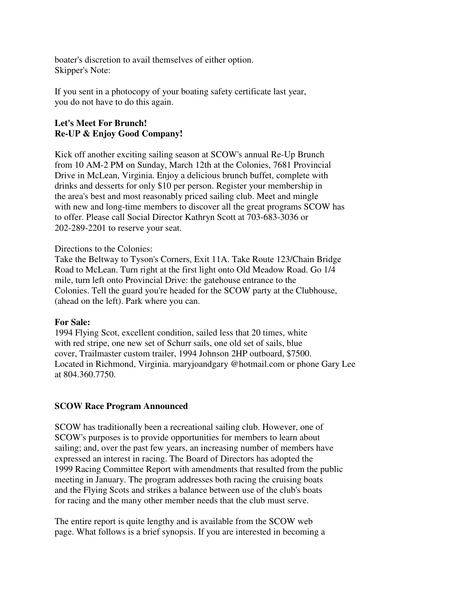boater's discretion to avail themselves of either option. Skipper's Note:

If you sent in a photocopy of your boating safety certificate last year, you do not have to do this again.

# **Let's Meet For Brunch! Re-UP & Enjoy Good Company!**

Kick off another exciting sailing season at SCOW's annual Re-Up Brunch from 10 AM-2 PM on Sunday, March 12th at the Colonies, 7681 Provincial Drive in McLean, Virginia. Enjoy a delicious brunch buffet, complete with drinks and desserts for only \$10 per person. Register your membership in the area's best and most reasonably priced sailing club. Meet and mingle with new and long-time members to discover all the great programs SCOW has to offer. Please call Social Director Kathryn Scott at 703-683-3036 or 202-289-2201 to reserve your seat.

#### Directions to the Colonies:

Take the Beltway to Tyson's Corners, Exit 11A. Take Route 123/Chain Bridge Road to McLean. Turn right at the first light onto Old Meadow Road. Go 1/4 mile, turn left onto Provincial Drive: the gatehouse entrance to the Colonies. Tell the guard you're headed for the SCOW party at the Clubhouse, (ahead on the left). Park where you can.

#### **For Sale:**

1994 Flying Scot, excellent condition, sailed less that 20 times, white with red stripe, one new set of Schurr sails, one old set of sails, blue cover, Trailmaster custom trailer, 1994 Johnson 2HP outboard, \$7500. Located in Richmond, Virginia. maryjoandgary @hotmail.com or phone Gary Lee at 804.360.7750.

## **SCOW Race Program Announced**

SCOW has traditionally been a recreational sailing club. However, one of SCOW's purposes is to provide opportunities for members to learn about sailing; and, over the past few years, an increasing number of members have expressed an interest in racing. The Board of Directors has adopted the 1999 Racing Committee Report with amendments that resulted from the public meeting in January. The program addresses both racing the cruising boats and the Flying Scots and strikes a balance between use of the club's boats for racing and the many other member needs that the club must serve.

The entire report is quite lengthy and is available from the SCOW web page. What follows is a brief synopsis. If you are interested in becoming a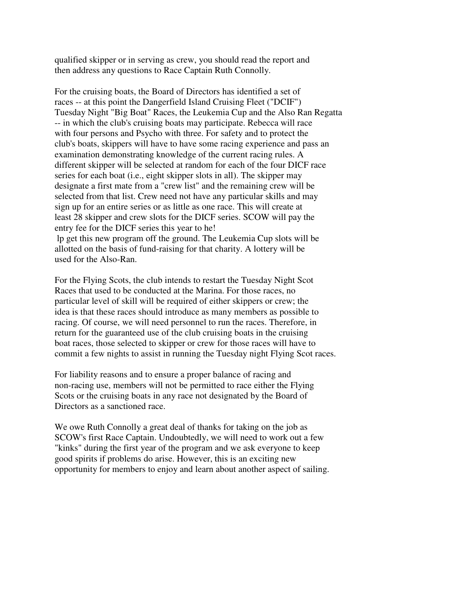qualified skipper or in serving as crew, you should read the report and then address any questions to Race Captain Ruth Connolly.

For the cruising boats, the Board of Directors has identified a set of races -- at this point the Dangerfield Island Cruising Fleet ("DCIF") Tuesday Night "Big Boat" Races, the Leukemia Cup and the Also Ran Regatta -- in which the club's cruising boats may participate. Rebecca will race with four persons and Psycho with three. For safety and to protect the club's boats, skippers will have to have some racing experience and pass an examination demonstrating knowledge of the current racing rules. A different skipper will be selected at random for each of the four DICF race series for each boat (i.e., eight skipper slots in all). The skipper may designate a first mate from a "crew list" and the remaining crew will be selected from that list. Crew need not have any particular skills and may sign up for an entire series or as little as one race. This will create at least 28 skipper and crew slots for the DICF series. SCOW will pay the entry fee for the DICF series this year to he! lp get this new program off the ground. The Leukemia Cup slots will be allotted on the basis of fund-raising for that charity. A lottery will be used for the Also-Ran.

For the Flying Scots, the club intends to restart the Tuesday Night Scot Races that used to be conducted at the Marina. For those races, no particular level of skill will be required of either skippers or crew; the idea is that these races should introduce as many members as possible to racing. Of course, we will need personnel to run the races. Therefore, in return for the guaranteed use of the club cruising boats in the cruising boat races, those selected to skipper or crew for those races will have to commit a few nights to assist in running the Tuesday night Flying Scot races.

For liability reasons and to ensure a proper balance of racing and non-racing use, members will not be permitted to race either the Flying Scots or the cruising boats in any race not designated by the Board of Directors as a sanctioned race.

We owe Ruth Connolly a great deal of thanks for taking on the job as SCOW's first Race Captain. Undoubtedly, we will need to work out a few "kinks" during the first year of the program and we ask everyone to keep good spirits if problems do arise. However, this is an exciting new opportunity for members to enjoy and learn about another aspect of sailing.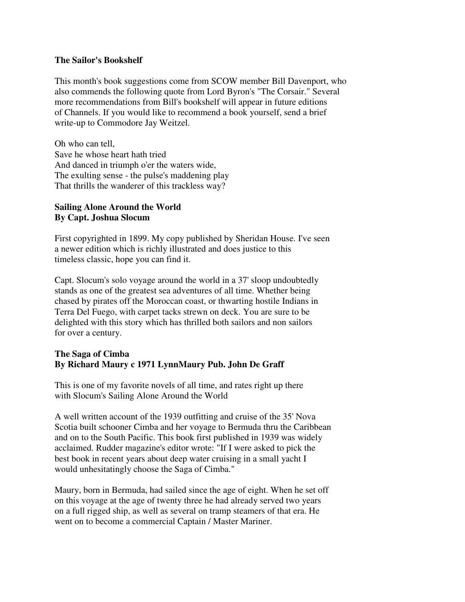#### **The Sailor's Bookshelf**

This month's book suggestions come from SCOW member Bill Davenport, who also commends the following quote from Lord Byron's "The Corsair." Several more recommendations from Bill's bookshelf will appear in future editions of Channels. If you would like to recommend a book yourself, send a brief write-up to Commodore Jay Weitzel.

Oh who can tell, Save he whose heart hath tried And danced in triumph o'er the waters wide, The exulting sense - the pulse's maddening play That thrills the wanderer of this trackless way?

### **Sailing Alone Around the World By Capt. Joshua Slocum**

First copyrighted in 1899. My copy published by Sheridan House. I've seen a newer edition which is richly illustrated and does justice to this timeless classic, hope you can find it.

Capt. Slocum's solo voyage around the world in a 37' sloop undoubtedly stands as one of the greatest sea adventures of all time. Whether being chased by pirates off the Moroccan coast, or thwarting hostile Indians in Terra Del Fuego, with carpet tacks strewn on deck. You are sure to be delighted with this story which has thrilled both sailors and non sailors for over a century.

#### **The Saga of Cimba By Richard Maury c 1971 LynnMaury Pub. John De Graff**

This is one of my favorite novels of all time, and rates right up there with Slocum's Sailing Alone Around the World

A well written account of the 1939 outfitting and cruise of the 35' Nova Scotia built schooner Cimba and her voyage to Bermuda thru the Caribbean and on to the South Pacific. This book first published in 1939 was widely acclaimed. Rudder magazine's editor wrote: "If I were asked to pick the best book in recent years about deep water cruising in a small yacht I would unhesitatingly choose the Saga of Cimba."

Maury, born in Bermuda, had sailed since the age of eight. When he set off on this voyage at the age of twenty three he had already served two years on a full rigged ship, as well as several on tramp steamers of that era. He went on to become a commercial Captain / Master Mariner.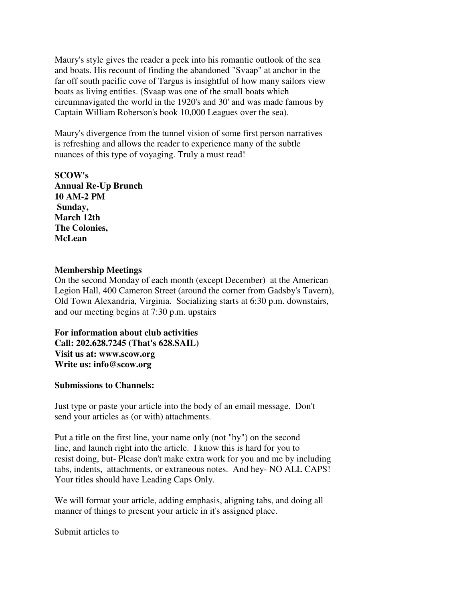Maury's style gives the reader a peek into his romantic outlook of the sea and boats. His recount of finding the abandoned "Svaap" at anchor in the far off south pacific cove of Targus is insightful of how many sailors view boats as living entities. (Svaap was one of the small boats which circumnavigated the world in the 1920's and 30' and was made famous by Captain William Roberson's book 10,000 Leagues over the sea).

Maury's divergence from the tunnel vision of some first person narratives is refreshing and allows the reader to experience many of the subtle nuances of this type of voyaging. Truly a must read!

**SCOW's Annual Re-Up Brunch 10 AM-2 PM Sunday, March 12th The Colonies, McLean**

#### **Membership Meetings**

On the second Monday of each month (except December) at the American Legion Hall, 400 Cameron Street (around the corner from Gadsby's Tavern), Old Town Alexandria, Virginia. Socializing starts at 6:30 p.m. downstairs, and our meeting begins at 7:30 p.m. upstairs

**For information about club activities Call: 202.628.7245 (That's 628.SAIL) Visit us at: www.scow.org Write us: info@scow.org**

#### **Submissions to Channels:**

Just type or paste your article into the body of an email message. Don't send your articles as (or with) attachments.

Put a title on the first line, your name only (not "by") on the second line, and launch right into the article. I know this is hard for you to resist doing, but- Please don't make extra work for you and me by including tabs, indents, attachments, or extraneous notes. And hey- NO ALL CAPS! Your titles should have Leading Caps Only.

We will format your article, adding emphasis, aligning tabs, and doing all manner of things to present your article in it's assigned place.

Submit articles to